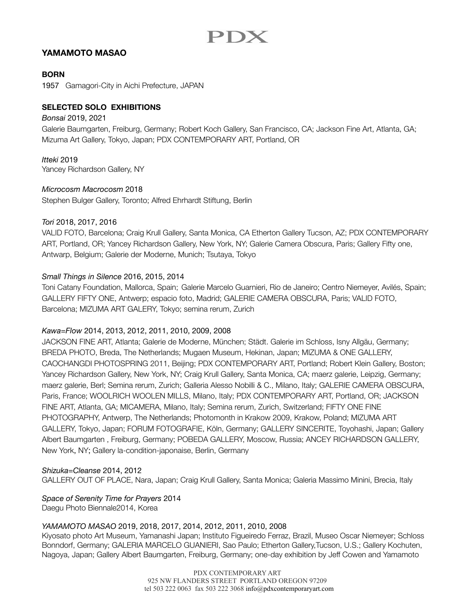# PDX

# **YAMAMOTO MASAO**

### **BORN**

1957Gamagori-City in Aichi Prefecture, JAPAN

# **SELECTED SOLO EXHIBITIONS**

#### *Bonsai* 2019, 2021

Galerie Baumgarten, Freiburg, Germany; Robert Koch Gallery, San Francisco, CA; Jackson Fine Art, Atlanta, GA; Mizuma Art Gallery, Tokyo, Japan; PDX CONTEMPORARY ART, Portland, OR

#### *Itteki* 2019

Yancey Richardson Gallery, NY

#### *Microcosm Macrocosm* 2018

Stephen Bulger Gallery, Toronto; Alfred Ehrhardt Stiftung, Berlin

#### *Tori* 2018, 2017, 2016

VALID FOTO, Barcelona; Craig Krull Gallery, Santa Monica, CA Etherton Gallery Tucson, AZ; PDX CONTEMPORARY ART, Portland, OR; Yancey Richardson Gallery, New York, NY; Galerie Camera Obscura, Paris; Gallery Fifty one, Antwarp, Belgium; Galerie der Moderne, Munich; Tsutaya, Tokyo

# *Small Things in Silence* 2016, 2015, 2014

Toni Catany Foundation, Mallorca, Spain; Galerie Marcelo Guarnieri, Rio de Janeiro; Centro Niemeyer, Avilés, Spain; GALLERY FIFTY ONE, Antwerp; espacio foto, Madrid; GALERIE CAMERA OBSCURA, Paris; VALID FOTO, Barcelona; MIZUMA ART GALERY, Tokyo; semina rerum, Zurich

#### *Kawa=Flow* 2014, 2013, 2012, 2011, 2010, 2009, 2008

JACKSON FINE ART, Atlanta; Galerie de Moderne, München; Städt. Galerie im Schloss, Isny Allgäu, Germany; BREDA PHOTO, Breda, The Netherlands; Mugaen Museum, Hekinan, Japan; MIZUMA & ONE GALLERY, CAOCHANGDI PHOTOSPRING 2011, Beijing; PDX CONTEMPORARY ART, Portland; Robert Klein Gallery, Boston; Yancey Richardson Gallery, New York, NY; Craig Krull Gallery, Santa Monica, CA; maerz galerie, Leipzig, Germany; maerz galerie, Berl; Semina rerum, Zurich; Galleria Alesso Nobilli & C., Milano, Italy; GALERIE CAMERA OBSCURA, Paris, France; WOOLRICH WOOLEN MILLS, Milano, Italy; PDX CONTEMPORARY ART, Portland, OR; JACKSON FINE ART, Atlanta, GA; MICAMERA, Milano, Italy; Semina rerum, Zurich, Switzerland; FIFTY ONE FINE PHOTOGRAPHY, Antwerp, The Netherlands; Photomonth in Krakow 2009, Krakow, Poland; MIZUMA ART GALLERY, Tokyo, Japan; FORUM FOTOGRAFIE, Köln, Germany; GALLERY SINCERITE, Toyohashi, Japan; Gallery Albert Baumgarten , Freiburg, Germany; POBEDA GALLERY, Moscow, Russia; ANCEY RICHARDSON GALLERY, New York, NY; Gallery la-condition-japonaise, Berlin, Germany

#### *Shizuka=Cleanse* 2014, 2012

GALLERY OUT OF PLACE, Nara, Japan; Craig Krull Gallery, Santa Monica; Galeria Massimo Minini, Brecia, Italy

# *Space of Serenity Time for Prayers* 2014

Daegu Photo Biennale2014, Korea

#### *YAMAMOTO MASAO* 2019, 2018, 2017, 2014, 2012, 2011, 2010, 2008

Kiyosato photo Art Museum, Yamanashi Japan; Instituto Figueiredo Ferraz, Brazil, Museo Oscar Niemeyer; Schloss Bonndorf, Germany; GALERIA MARCELO GUANIERI, Sao Paulo; Etherton Gallery,Tucson, U.S.; Gallery Kochuten, Nagoya, Japan; Gallery Albert Baumgarten, Freiburg, Germany; one-day exhibition by Jeff Cowen and Yamamoto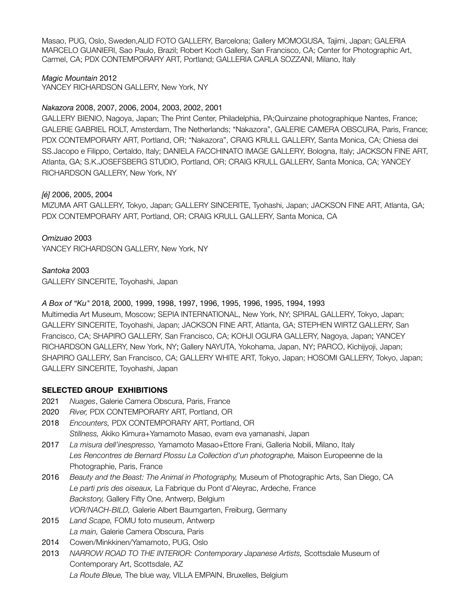Masao, PUG, Oslo, Sweden,ALID FOTO GALLERY, Barcelona; Gallery MOMOGUSA, Tajimi, Japan; GALERIA MARCELO GUANIERI, Sao Paulo, Brazil; Robert Koch Gallery, San Francisco, CA; Center for Photographic Art, Carmel, CA; PDX CONTEMPORARY ART, Portland; GALLERIA CARLA SOZZANI, Milano, Italy

*Magic Mountain* 2012 YANCEY RICHARDSON GALLERY, New York, NY

# *Nakazora* 2008, 2007, 2006, 2004, 2003, 2002, 2001

GALLERY BIENIO, Nagoya, Japan; The Print Center, Philadelphia, PA;Quinzaine photographique Nantes, France; GALERIE GABRIEL ROLT, Amsterdam, The Netherlands; "Nakazora", GALERIE CAMERA OBSCURA, Paris, France; PDX CONTEMPORARY ART, Portland, OR; "Nakazora", CRAIG KRULL GALLERY, Santa Monica, CA; Chiesa dei SS.Jacopo e Filippo, Certaldo, Italy; DANIELA FACCHINATO IMAGE GALLERY, Bologna, Italy; JACKSON FINE ART, Atlanta, GA; S.K.JOSEFSBERG STUDIO, Portland, OR; CRAIG KRULL GALLERY, Santa Monica, CA; YANCEY RICHARDSON GALLERY, New York, NY

# *[é]* 2006, 2005, 2004

MIZUMA ART GALLERY, Tokyo, Japan; GALLERY SINCERITE, Tyohashi, Japan; JACKSON FINE ART, Atlanta, GA; PDX CONTEMPORARY ART, Portland, OR; CRAIG KRULL GALLERY, Santa Monica, CA

*Omizuao* 2003 YANCEY RICHARDSON GALLERY, New York, NY

*Santoka* 2003

GALLERY SINCERITE, Toyohashi, Japan

*A Box of "Ku"* 2018*,* 2000, 1999, 1998, 1997, 1996, 1995, 1996, 1995, 1994, 1993

Multimedia Art Museum, Moscow; SEPIA INTERNATIONAL, New York, NY; SPIRAL GALLERY, Tokyo, Japan; GALLERY SINCERITE, Toyohashi, Japan; JACKSON FINE ART, Atlanta, GA; STEPHEN WIRTZ GALLERY, San Francisco, CA; SHAPIRO GALLERY, San Francisco, CA; KOHJI OGURA GALLERY, Nagoya, Japan; YANCEY RICHARDSON GALLERY, New York, NY; Gallery NAYUTA, Yokohama, Japan, NY; PARCO, Kichijyoji, Japan; SHAPIRO GALLERY, San Francisco, CA; GALLERY WHITE ART, Tokyo, Japan; HOSOMI GALLERY, Tokyo, Japan; GALLERY SINCERITE, Toyohashi, Japan

# **SELECTED GROUP EXHIBITIONS**

- 2021 *Nuages*, Galerie Camera Obscura, Paris, France
- 2020 *River,* PDX CONTEMPORARY ART, Portland, OR
- 2018 *Encounters,* PDX CONTEMPORARY ART, Portland, OR

*Stillness,* Akiko Kimura+Yamamoto Masao, evam eva yamanashi, Japan

- 2017 *La misura dell'inespresso,* Yamamoto Masao+Ettore Frani, Galleria Nobili, Milano, Italy *Les Rencontres de Bernard Plossu La Collection d'un photographe,* Maison Europeenne de la Photographie, Paris, France
- 2016 *Beauty and the Beast: The Animal in Photography,* Museum of Photographic Arts, San Diego, CA *Le parti pris des oiseaux,* La Fabrique du Pont d'Aleyrac, Ardeche, France *Backstory,* Gallery Fifty One, Antwerp, Belgium *VOR/NACH-BILD,* Galerie Albert Baumgarten, Freiburg, Germany
- 2015 *Land Scape,* FOMU foto museum, Antwerp *La main,* Galerie Camera Obscura, Paris
- 2014 Cowen/Minkkinen/Yamamoto, PUG, Oslo
- 2013 *NARROW ROAD TO THE INTERIOR: Contemporary Japanese Artists,* Scottsdale Museum of Contemporary Art, Scottsdale, AZ *La Route Bleue,* The blue way, VILLA EMPAIN, Bruxelles, Belgium